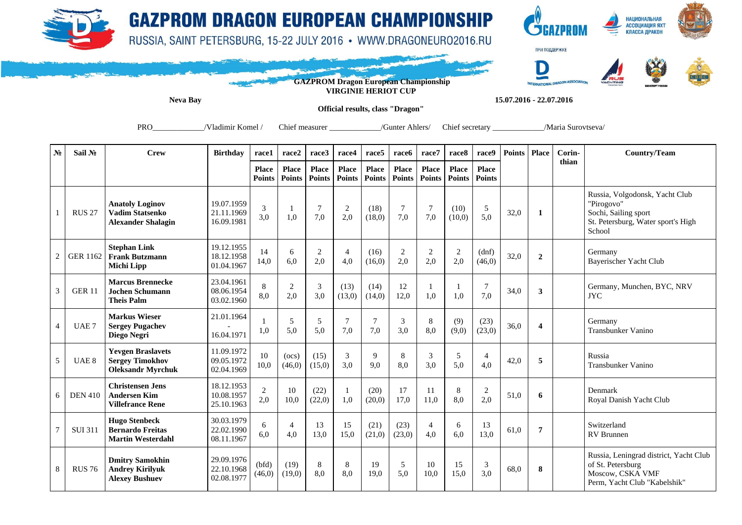

## **GAZPROM DRAGON EUROPEAN CHAMPIONSHIP**

RUSSIA, SAINT PETERSBURG, 15-22 JULY 2016 · WWW.DRAGONEURO2016.RU



**НАЦИОНАЛЬНАЯ АССОЦИАЦИЯ ЯХТ**<br>КЛАССА ДРАКОН



**GAZPROM Dragon European Championship VIRGINIE HERIOT CUP** 

**Neva Bay 15.07.2016 - 22.07.2016** 

**Official results, class "Dragon"** 

PRO / Vladimir Komel / Chief measurer / Chief measurer / Gunter Ahlers/ Chief secretary / Maria Surovtseva/

| $N_2$          | Sail No          | Crew                                                                           | <b>Birthday</b>                        | race1                         | race2                  | race3                  | race4                  | race <sub>5</sub>             | race6                         | race7                         | race8                  | race9                         | <b>Points</b> | <b>Place</b>            | Corin-<br>thian | <b>Country/Team</b>                                                                                                  |
|----------------|------------------|--------------------------------------------------------------------------------|----------------------------------------|-------------------------------|------------------------|------------------------|------------------------|-------------------------------|-------------------------------|-------------------------------|------------------------|-------------------------------|---------------|-------------------------|-----------------|----------------------------------------------------------------------------------------------------------------------|
|                |                  |                                                                                |                                        | <b>Place</b><br><b>Points</b> | <b>Place</b><br>Points | Place<br><b>Points</b> | Place<br><b>Points</b> | <b>Place</b><br><b>Points</b> | <b>Place</b><br><b>Points</b> | <b>Place</b><br><b>Points</b> | Place<br><b>Points</b> | <b>Place</b><br><b>Points</b> |               |                         |                 |                                                                                                                      |
|                | <b>RUS 27</b>    | <b>Anatoly Loginov</b><br><b>Vadim Statsenko</b><br><b>Alexander Shalagin</b>  | 19.07.1959<br>21.11.1969<br>16.09.1981 | 3<br>3,0                      | 1,0                    | $\overline{7}$<br>7,0  | 2<br>2,0               | (18)<br>(18,0)                | $\overline{7}$<br>7,0         | $\overline{7}$<br>7,0         | (10)<br>(10,0)         | 5<br>5,0                      | 32,0          | 1                       |                 | Russia, Volgodonsk, Yacht Club<br>"Pirogovo"<br>Sochi, Sailing sport<br>St. Petersburg, Water sport's High<br>School |
| $\overline{2}$ | <b>GER 1162</b>  | <b>Stephan Link</b><br><b>Frank Butzmann</b><br><b>Michi Lipp</b>              | 19.12.1955<br>18.12.1958<br>01.04.1967 | 14<br>14,0                    | 6<br>6.0               | $\overline{2}$<br>2,0  | $\overline{4}$<br>4.0  | (16)<br>(16,0)                | $\overline{c}$<br>2,0         | $\overline{2}$<br>2,0         | 2<br>2,0               | (dnf)<br>(46, 0)              | 32,0          | $\overline{2}$          |                 | Germany<br>Bayerischer Yacht Club                                                                                    |
| 3              | <b>GER 11</b>    | <b>Marcus Brennecke</b><br><b>Jochen Schumann</b><br><b>Theis Palm</b>         | 23.04.1961<br>08.06.1954<br>03.02.1960 | 8<br>8,0                      | 2<br>2,0               | 3<br>3,0               | (13)<br>(13,0)         | (14)<br>(14,0)                | 12<br>12,0                    | 1,0                           | 1,0                    | 7,0                           | 34,0          | 3                       |                 | Germany, Munchen, BYC, NRV<br><b>JYC</b>                                                                             |
| $\overline{4}$ | UAE <sub>7</sub> | <b>Markus Wieser</b><br><b>Sergey Pugachev</b><br>Diego Negri                  | 21.01.1964<br>16.04.1971               | 1,0                           | 5<br>5,0               | 5<br>5,0               | $\overline{7}$<br>7,0  | $\overline{7}$<br>7,0         | 3<br>3,0                      | 8<br>8,0                      | (9)<br>(9,0)           | (23)<br>(23,0)                | 36,0          | $\overline{\mathbf{4}}$ |                 | Germany<br>Transbunker Vanino                                                                                        |
| 5              | UAE <sub>8</sub> | <b>Yevgen Braslavets</b><br><b>Sergey Timokhov</b><br><b>Oleksandr Myrchuk</b> | 11.09.1972<br>09.05.1972<br>02.04.1969 | 10<br>10,0                    | (ocs)<br>(46,0)        | (15)<br>(15,0)         | 3<br>3,0               | 9<br>9,0                      | 8<br>8,0                      | 3<br>3,0                      | 5<br>5,0               | $\overline{4}$<br>4,0         | 42,0          | 5                       |                 | Russia<br><b>Transbunker Vanino</b>                                                                                  |
| 6              | <b>DEN 410</b>   | <b>Christensen Jens</b><br><b>Andersen Kim</b><br><b>Villefrance Rene</b>      | 18.12.1953<br>10.08.1957<br>25.10.1963 | $\overline{2}$<br>2,0         | 10<br>10,0             | (22)<br>(22,0)         | 1<br>1,0               | (20)<br>(20,0)                | 17<br>17,0                    | 11<br>11.0                    | 8<br>8.0               | 2<br>2.0                      | 51,0          | 6                       |                 | Denmark<br>Royal Danish Yacht Club                                                                                   |
| $\overline{7}$ | <b>SUI 311</b>   | <b>Hugo Stenbeck</b><br><b>Bernardo Freitas</b><br><b>Martin Westerdahl</b>    | 30.03.1979<br>22.02.1990<br>08.11.1967 | 6<br>6,0                      | 4<br>4,0               | 13<br>13,0             | 15<br>15,0             | (21)<br>(21,0)                | (23)<br>(23,0)                | $\overline{4}$<br>4,0         | 6<br>6.0               | 13<br>13,0                    | 61,0          | 7                       |                 | Switzerland<br><b>RV</b> Brunnen                                                                                     |
| 8              | <b>RUS 76</b>    | <b>Dmitry Samokhin</b><br><b>Andrey Kirilyuk</b><br><b>Alexev Bushuev</b>      | 29.09.1976<br>22.10.1968<br>02.08.1977 | (bfd)<br>(46,0)               | (19)<br>(19,0)         | 8<br>8,0               | 8<br>8.0               | 19<br>19,0                    | 5<br>5.0                      | 10<br>10.0                    | 15<br>15,0             | 3<br>3.0                      | 68,0          | 8                       |                 | Russia, Leningrad district, Yacht Club<br>of St. Petersburg<br>Moscow, CSKA VMF<br>Perm, Yacht Club "Kabelshik"      |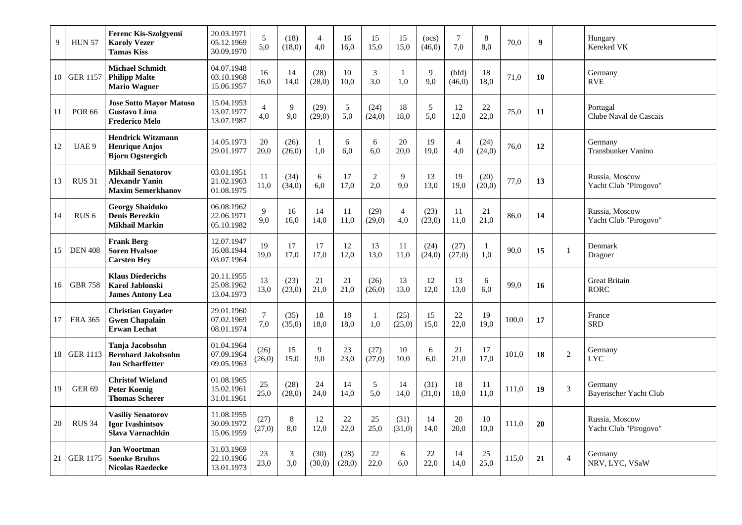| 9  | <b>HUN 57</b>    | <b>Ferenc Kis-Szolgvemi</b><br><b>Karoly Vezer</b><br><b>Tamas Kiss</b>        | 20.03.1971<br>05.12.1969<br>30.09.1970 | $\sqrt{5}$<br>5,0     | (18)<br>(18,0)        | $\overline{4}$<br>4,0 | 16<br>16,0     | 15<br>15,0            | 15<br>15,0            | (ocs)<br>(46, 0) | 7<br>7,0              | 8<br>8.0       | 70,0  | $\boldsymbol{9}$ |                | Hungary<br>Kereked VK                   |
|----|------------------|--------------------------------------------------------------------------------|----------------------------------------|-----------------------|-----------------------|-----------------------|----------------|-----------------------|-----------------------|------------------|-----------------------|----------------|-------|------------------|----------------|-----------------------------------------|
| 10 | <b>GER 1157</b>  | <b>Michael Schmidt</b><br><b>Philipp Malte</b><br><b>Mario Wagner</b>          | 04.07.1948<br>03.10.1968<br>15.06.1957 | 16<br>16,0            | 14<br>14,0            | (28)<br>(28,0)        | 10<br>10,0     | 3<br>3,0              | 1.0                   | 9<br>9.0         | (bfd)<br>(46,0)       | 18<br>18.0     | 71,0  | 10               |                | Germany<br><b>RVE</b>                   |
| 11 | <b>POR 66</b>    | <b>Jose Sotto Mayor Matoso</b><br><b>Gustavo Lima</b><br><b>Frederico Melo</b> | 15.04.1953<br>13.07.1977<br>13.07.1987 | $\overline{4}$<br>4,0 | 9<br>9.0              | (29)<br>(29,0)        | 5<br>5.0       | (24)<br>(24,0)        | 18<br>18.0            | 5<br>5.0         | 12<br>12.0            | 22<br>22.0     | 75,0  | 11               |                | Portugal<br>Clube Naval de Cascais      |
| 12 | UAE 9            | <b>Hendrick Witzmann</b><br><b>Henrique Anjos</b><br><b>Bjorn Ogstergich</b>   | 14.05.1973<br>29.01.1977               | 20<br>20,0            | (26)<br>(26,0)        | $\mathbf{1}$<br>1,0   | 6<br>6.0       | 6<br>6.0              | 20<br>20.0            | 19<br>19.0       | $\overline{4}$<br>4.0 | (24)<br>(24,0) | 76,0  | 12               |                | Germany<br><b>Transbunker Vanino</b>    |
| 13 | <b>RUS 31</b>    | <b>Mikhail Senatorov</b><br><b>Alexandr Yanin</b><br><b>Maxim Semerkhanov</b>  | 03.01.1951<br>21.02.1963<br>01.08.1975 | 11<br>11.0            | (34)<br>(34,0)        | 6<br>6.0              | 17<br>17.0     | $\overline{2}$<br>2.0 | 9<br>9.0              | 13<br>13.0       | 19<br>19.0            | (20)<br>(20,0) | 77,0  | 13               |                | Russia, Moscow<br>Yacht Club "Pirogovo" |
| 14 | RUS <sub>6</sub> | <b>Georgy Shaiduko</b><br><b>Denis Berezkin</b><br>Mikhail Markin              | 06.08.1962<br>22.06.1971<br>05.10.1982 | 9<br>9,0              | 16<br>16,0            | 14<br>14,0            | 11<br>11,0     | (29)<br>(29,0)        | $\overline{4}$<br>4,0 | (23)<br>(23,0)   | 11<br>11,0            | 21<br>21,0     | 86,0  | 14               |                | Russia, Moscow<br>Yacht Club "Pirogovo" |
| 15 | <b>DEN 408</b>   | <b>Frank Berg</b><br><b>Soren Hyalsoe</b><br><b>Carsten Hey</b>                | 12.07.1947<br>16.08.1944<br>03.07.1964 | 19<br>19,0            | 17<br>17,0            | 17<br>17,0            | 12<br>12,0     | 13<br>13,0            | 11<br>11,0            | (24)<br>(24,0)   | (27)<br>(27,0)        | 1<br>1,0       | 90,0  | 15               | $\mathbf{1}$   | Denmark<br>Dragoer                      |
| 16 | <b>GBR 758</b>   | <b>Klaus Diederichs</b><br><b>Karol Jablonski</b><br><b>James Antony Lea</b>   | 20.11.1955<br>25.08.1962<br>13.04.1973 | 13<br>13,0            | (23)<br>(23,0)        | 21<br>21,0            | 21<br>21,0     | (26)<br>(26,0)        | 13<br>13,0            | 12<br>12,0       | 13<br>13,0            | 6<br>6,0       | 99,0  | 16               |                | <b>Great Britain</b><br><b>RORC</b>     |
| 17 | <b>FRA 365</b>   | <b>Christian Guyader</b><br><b>Gwen Chapalain</b><br><b>Erwan Lechat</b>       | 29.01.1960<br>07.02.1969<br>08.01.1974 | $\tau$<br>7,0         | (35)<br>(35,0)        | 18<br>18,0            | 18<br>18,0     | -1<br>1,0             | (25)<br>(25,0)        | 15<br>15,0       | 22<br>22,0            | 19<br>19,0     | 100,0 | 17               |                | France<br><b>SRD</b>                    |
| 18 | <b>GER 1113</b>  | Tanja Jacobsohn<br><b>Bernhard Jakobsohn</b><br><b>Jan Scharffetter</b>        | 01.04.1964<br>07.09.1964<br>09.05.1963 | (26)<br>(26,0)        | 15<br>15,0            | 9<br>9,0              | 23<br>23,0     | (27)<br>(27,0)        | 10<br>10,0            | 6<br>6.0         | 21<br>21,0            | 17<br>17,0     | 101.0 | 18               | $\overline{2}$ | Germany<br><b>LYC</b>                   |
| 19 | <b>GER 69</b>    | <b>Christof Wieland</b><br><b>Peter Koenig</b><br><b>Thomas Scherer</b>        | 01.08.1965<br>15.02.1961<br>31.01.1961 | 25<br>25,0            | (28)<br>(28,0)        | 24<br>24,0            | 14<br>14,0     | 5<br>5,0              | 14<br>14,0            | (31)<br>(31,0)   | 18<br>18,0            | 11<br>11,0     | 111,0 | 19               | $\mathfrak{Z}$ | Germany<br>Bayerischer Yacht Club       |
| 20 | <b>RUS 34</b>    | <b>Vasiliv Senatorov</b><br><b>Igor Ivashintsov</b><br>Slava Varnachkin        | 11.08.1955<br>30.09.1972<br>15.06.1959 | (27)<br>(27,0)        | 8<br>8,0              | 12<br>12,0            | 22<br>22,0     | 25<br>25,0            | (31)<br>(31,0)        | 14<br>14,0       | 20<br>20,0            | 10<br>10.0     | 111,0 | 20               |                | Russia, Moscow<br>Yacht Club "Pirogovo" |
| 21 | <b>GER 1175</b>  | <b>Jan Woortman</b><br><b>Soenke Bruhns</b><br><b>Nicolas Raedecke</b>         | 31.03.1969<br>22.10.1966<br>13.01.1973 | 23<br>23,0            | $\mathfrak{Z}$<br>3,0 | (30)<br>(30,0)        | (28)<br>(28,0) | 22<br>22,0            | 6<br>6.0              | 22<br>22.0       | 14<br>14,0            | 25<br>25.0     | 115,0 | 21               | $\overline{4}$ | Germany<br>NRV, LYC, VSaW               |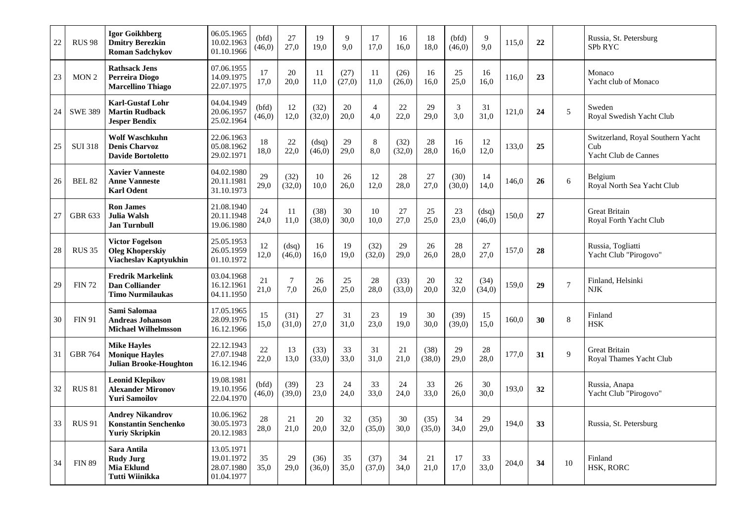| 22 | <b>RUS 98</b>    | Igor Goikhberg<br><b>Dmitry Berezkin</b><br><b>Roman Sadchykov</b>              | 06.05.1965<br>10.02.1963<br>01.10.1966               | (bfd)<br>(46,0) | 27<br>27,0            | 19<br>19,0       | 9<br>9,0       | 17<br>17,0            | 16<br>16,0     | 18<br>18,0     | (bfd)<br>(46, 0) | 9<br>9.0        | 115,0 | 22 |                  | Russia, St. Petersburg<br>SPb RYC                                |
|----|------------------|---------------------------------------------------------------------------------|------------------------------------------------------|-----------------|-----------------------|------------------|----------------|-----------------------|----------------|----------------|------------------|-----------------|-------|----|------------------|------------------------------------------------------------------|
| 23 | MON <sub>2</sub> | <b>Rathsack Jens</b><br>Perreira Diogo<br><b>Marcellino Thiago</b>              | 07.06.1955<br>14.09.1975<br>22.07.1975               | 17<br>17,0      | 20<br>20.0            | 11<br>11,0       | (27)<br>(27,0) | -11<br>11,0           | (26)<br>(26,0) | 16<br>16.0     | 25<br>25,0       | 16<br>16.0      | 116,0 | 23 |                  | Monaco<br>Yacht club of Monaco                                   |
| 24 | <b>SWE 389</b>   | <b>Karl-Gustaf Lohr</b><br><b>Martin Rudback</b><br><b>Jesper Bendix</b>        | 04.04.1949<br>20.06.1957<br>25.02.1964               | (bfd)<br>(46,0) | 12<br>12.0            | (32)<br>(32,0)   | 20<br>20.0     | $\overline{4}$<br>4.0 | 22<br>22,0     | 29<br>29.0     | 3<br>3.0         | 31<br>31.0      | 121.0 | 24 | 5                | Sweden<br>Royal Swedish Yacht Club                               |
| 25 | <b>SUI 318</b>   | <b>Wolf Waschkuhn</b><br><b>Denis Charvoz</b><br><b>Davide Bortoletto</b>       | 22.06.1963<br>05.08.1962<br>29.02.1971               | 18<br>18,0      | 22<br>22,0            | (dsq)<br>(46, 0) | 29<br>29,0     | 8<br>8,0              | (32)<br>(32,0) | 28<br>28,0     | 16<br>16,0       | 12<br>12,0      | 133,0 | 25 |                  | Switzerland, Royal Southern Yacht<br>Cub<br>Yacht Club de Cannes |
| 26 | <b>BEL 82</b>    | <b>Xavier Vanneste</b><br><b>Anne Vanneste</b><br><b>Karl Odent</b>             | 04.02.1980<br>20.11.1981<br>31.10.1973               | 29<br>29,0      | (32)<br>(32,0)        | 10<br>10,0       | 26<br>26,0     | 12<br>12,0            | 28<br>28,0     | 27<br>27.0     | (30)<br>(30,0)   | 14<br>14,0      | 146,0 | 26 | 6                | Belgium<br>Royal North Sea Yacht Club                            |
| 27 | <b>GBR 633</b>   | <b>Ron James</b><br>Julia Walsh<br><b>Jan Turnbull</b>                          | 21.08.1940<br>20.11.1948<br>19.06.1980               | 24<br>24,0      | 11<br>11,0            | (38)<br>(38,0)   | 30<br>30,0     | 10<br>10,0            | 27<br>27,0     | 25<br>25,0     | 23<br>23,0       | (dsq)<br>(46,0) | 150,0 | 27 |                  | Great Britain<br>Royal Forth Yacht Club                          |
| 28 | <b>RUS 35</b>    | <b>Victor Fogelson</b><br><b>Oleg Khoperskiy</b><br>Viacheslav Kaptyukhin       | 25.05.1953<br>26.05.1959<br>01.10.1972               | 12<br>12,0      | (dsq)<br>(46,0)       | 16<br>16,0       | 19<br>19,0     | (32)<br>(32,0)        | 29<br>29,0     | 26<br>26,0     | 28<br>28,0       | 27<br>27,0      | 157,0 | 28 |                  | Russia, Togliatti<br>Yacht Club "Pirogovo"                       |
| 29 | <b>FIN 72</b>    | <b>Fredrik Markelink</b><br>Dan Colliander<br>Timo Nurmilaukas                  | 03.04.1968<br>16.12.1961<br>04.11.1950               | 21<br>21,0      | $\overline{7}$<br>7,0 | 26<br>26,0       | 25<br>25,0     | 28<br>28,0            | (33)<br>(33,0) | 20<br>20,0     | 32<br>32,0       | (34)<br>(34,0)  | 159,0 | 29 | $\boldsymbol{7}$ | Finland, Helsinki<br><b>NJK</b>                                  |
| 30 | <b>FIN 91</b>    | Sami Salomaa<br>Andreas Johanson<br><b>Michael Wilhelmsson</b>                  | 17.05.1965<br>28.09.1976<br>16.12.1966               | 15<br>15,0      | (31)<br>(31,0)        | 27<br>27.0       | 31<br>31.0     | 23<br>23,0            | 19<br>19.0     | 30<br>30.0     | (39)<br>(39,0)   | 15<br>15.0      | 160,0 | 30 | $\,$ 8 $\,$      | Finland<br><b>HSK</b>                                            |
| 31 | <b>GBR 764</b>   | <b>Mike Havles</b><br><b>Monique Hayles</b><br><b>Julian Brooke-Houghton</b>    | 22.12.1943<br>27.07.1948<br>16.12.1946               | 22<br>22,0      | 13<br>13,0            | (33)<br>(33,0)   | 33<br>33,0     | 31<br>31,0            | 21<br>21,0     | (38)<br>(38,0) | 29<br>29,0       | 28<br>28,0      | 177,0 | 31 | 9                | Great Britain<br>Royal Thames Yacht Club                         |
| 32 | <b>RUS 81</b>    | <b>Leonid Klepikov</b><br><b>Alexander Mironov</b><br><b>Yuri Samoilov</b>      | 19.08.1981<br>19.10.1956<br>22.04.1970               | (bfd)<br>(46,0) | (39)<br>(39,0)        | 23<br>23,0       | 24<br>24,0     | 33<br>33,0            | 24<br>24,0     | 33<br>33,0     | 26<br>26,0       | 30<br>30.0      | 193,0 | 32 |                  | Russia, Anapa<br>Yacht Club "Pirogovo"                           |
| 33 | <b>RUS 91</b>    | <b>Andrey Nikandrov</b><br><b>Konstantin Senchenko</b><br><b>Yuriy Skripkin</b> | 10.06.1962<br>30.05.1973<br>20.12.1983               | 28<br>28,0      | 21<br>21,0            | 20<br>20,0       | 32<br>32,0     | (35)<br>(35,0)        | 30<br>30,0     | (35)<br>(35,0) | 34<br>34,0       | 29<br>29.0      | 194,0 | 33 |                  | Russia, St. Petersburg                                           |
| 34 | <b>FIN 89</b>    | Sara Antila<br><b>Rudy Jurg</b><br>Mia Eklund<br>Tutti Wiinikka                 | 13.05.1971<br>19.01.1972<br>28.07.1980<br>01.04.1977 | 35<br>35,0      | 29<br>29,0            | (36)<br>(36,0)   | 35<br>35,0     | (37)<br>(37,0)        | 34<br>34,0     | 21<br>21,0     | 17<br>17,0       | 33<br>33,0      | 204,0 | 34 | 10               | Finland<br><b>HSK, RORC</b>                                      |